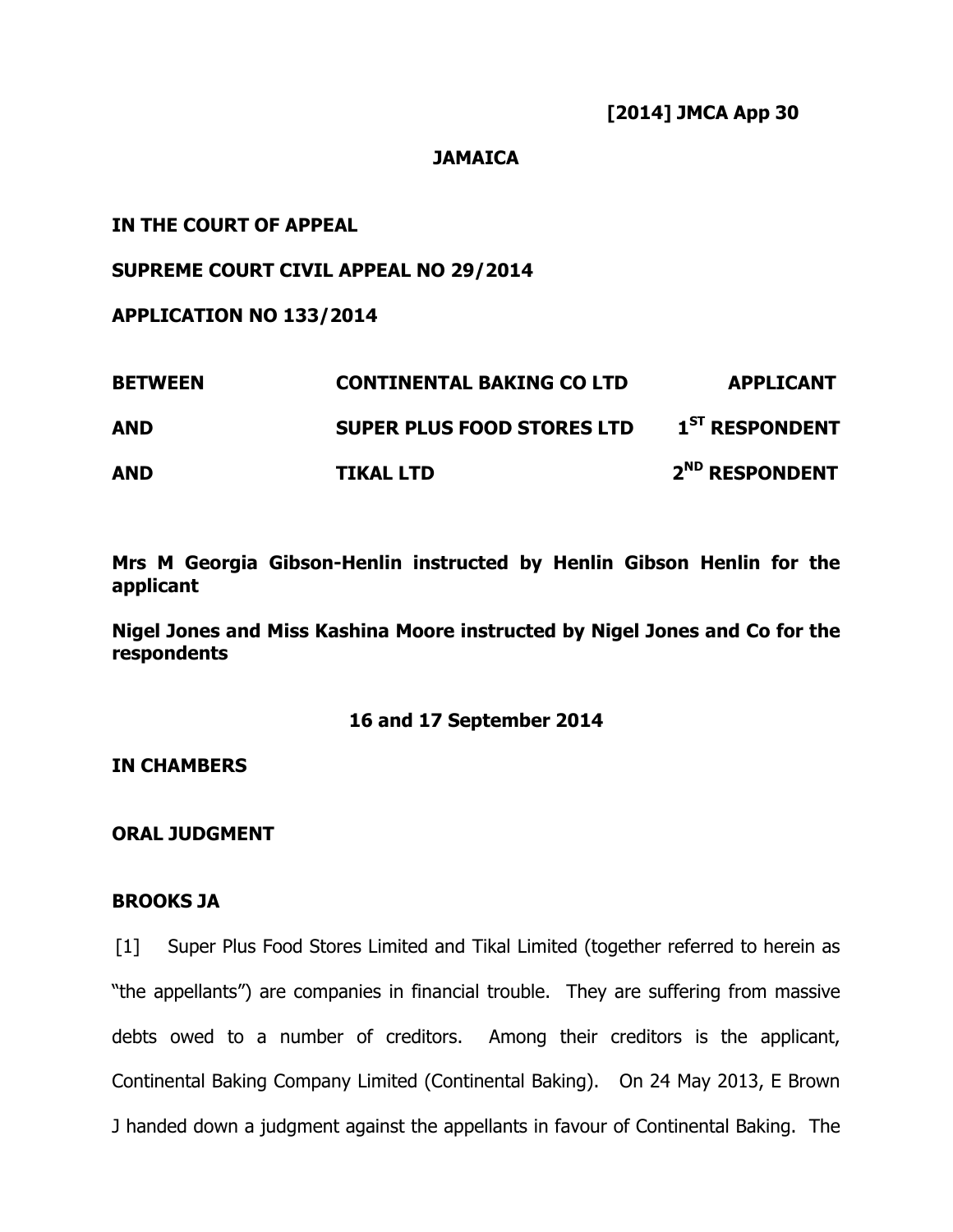**[2014] JMCA App 30** 

### **JAMAICA**

# **IN THE COURT OF APPEAL**

# **SUPREME COURT CIVIL APPEAL NO 29/2014**

**APPLICATION NO 133/2014** 

| <b>BETWEEN</b> | <b>CONTINENTAL BAKING CO LTD</b>  | <b>APPLICANT</b>           |
|----------------|-----------------------------------|----------------------------|
| <b>AND</b>     | <b>SUPER PLUS FOOD STORES LTD</b> | 1 <sup>ST</sup> RESPONDENT |
| <b>AND</b>     | <b>TIKAL LTD</b>                  | 2 <sup>ND</sup> RESPONDENT |

**Mrs M Georgia Gibson-Henlin instructed by Henlin Gibson Henlin for the applicant** 

**Nigel Jones and Miss Kashina Moore instructed by Nigel Jones and Co for the respondents** 

## **16 and 17 September 2014**

**IN CHAMBERS** 

**ORAL JUDGMENT** 

### **BROOKS JA**

[1] Super Plus Food Stores Limited and Tikal Limited (together referred to herein as "the appellants") are companies in financial trouble. They are suffering from massive debts owed to a number of creditors. Among their creditors is the applicant, Continental Baking Company Limited (Continental Baking). On 24 May 2013, E Brown J handed down a judgment against the appellants in favour of Continental Baking. The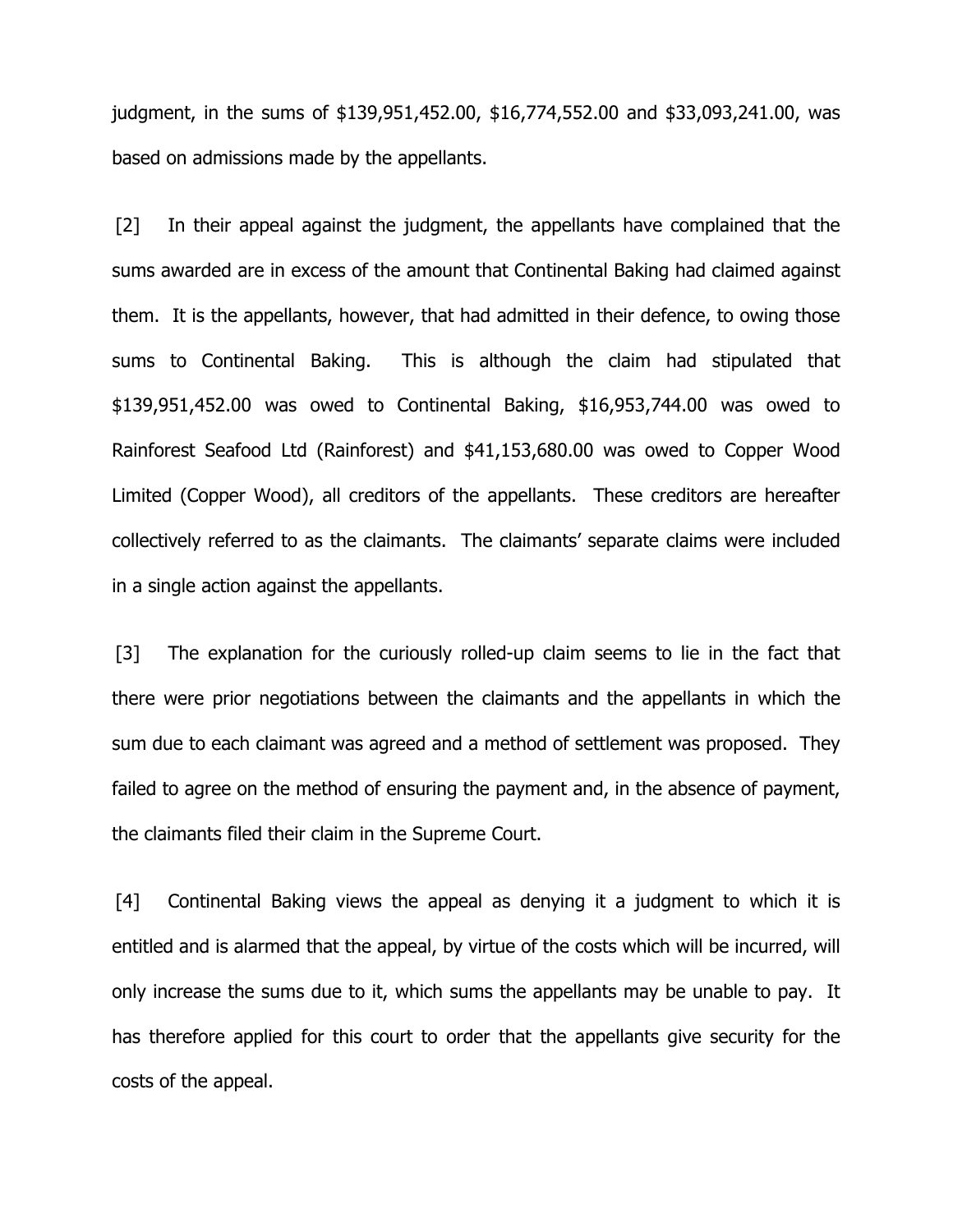judgment, in the sums of \$139,951,452.00, \$16,774,552.00 and \$33,093,241.00, was based on admissions made by the appellants.

[2] In their appeal against the judgment, the appellants have complained that the sums awarded are in excess of the amount that Continental Baking had claimed against them. It is the appellants, however, that had admitted in their defence, to owing those sums to Continental Baking. This is although the claim had stipulated that \$139,951,452.00 was owed to Continental Baking, \$16,953,744.00 was owed to Rainforest Seafood Ltd (Rainforest) and \$41,153,680.00 was owed to Copper Wood Limited (Copper Wood), all creditors of the appellants. These creditors are hereafter collectively referred to as the claimants. The claimants' separate claims were included in a single action against the appellants.

[3] The explanation for the curiously rolled-up claim seems to lie in the fact that there were prior negotiations between the claimants and the appellants in which the sum due to each claimant was agreed and a method of settlement was proposed. They failed to agree on the method of ensuring the payment and, in the absence of payment, the claimants filed their claim in the Supreme Court.

[4] Continental Baking views the appeal as denying it a judgment to which it is entitled and is alarmed that the appeal, by virtue of the costs which will be incurred, will only increase the sums due to it, which sums the appellants may be unable to pay. It has therefore applied for this court to order that the appellants give security for the costs of the appeal.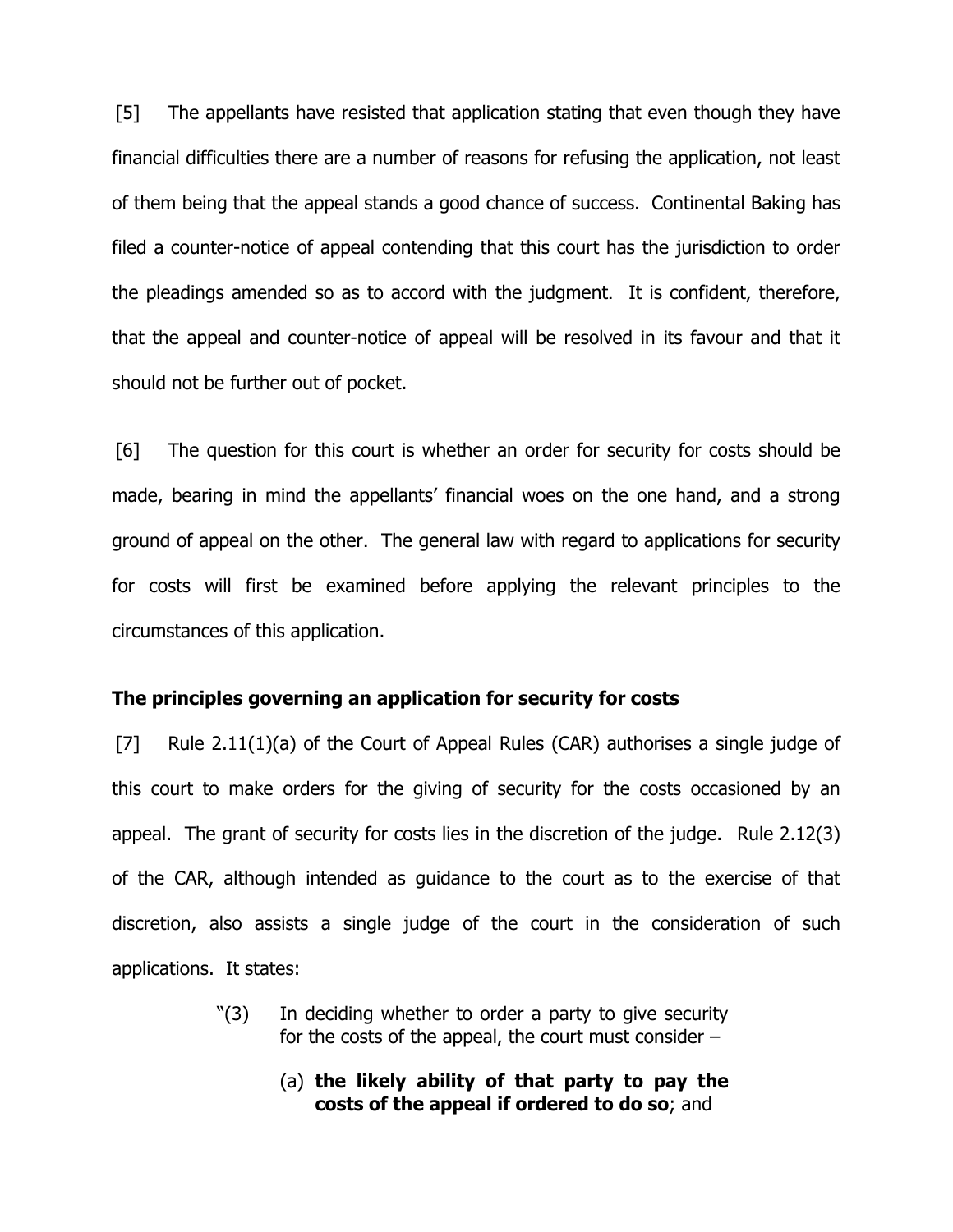[5] The appellants have resisted that application stating that even though they have financial difficulties there are a number of reasons for refusing the application, not least of them being that the appeal stands a good chance of success. Continental Baking has filed a counter-notice of appeal contending that this court has the jurisdiction to order the pleadings amended so as to accord with the judgment. It is confident, therefore, that the appeal and counter-notice of appeal will be resolved in its favour and that it should not be further out of pocket.

[6] The question for this court is whether an order for security for costs should be made, bearing in mind the appellants' financial woes on the one hand, and a strong ground of appeal on the other. The general law with regard to applications for security for costs will first be examined before applying the relevant principles to the circumstances of this application.

### **The principles governing an application for security for costs**

[7] Rule 2.11(1)(a) of the Court of Appeal Rules (CAR) authorises a single judge of this court to make orders for the giving of security for the costs occasioned by an appeal. The grant of security for costs lies in the discretion of the judge. Rule 2.12(3) of the CAR, although intended as guidance to the court as to the exercise of that discretion, also assists a single judge of the court in the consideration of such applications. It states:

- "(3) In deciding whether to order a party to give security for the costs of the appeal, the court must consider –
	- (a) **the likely ability of that party to pay the costs of the appeal if ordered to do so**; and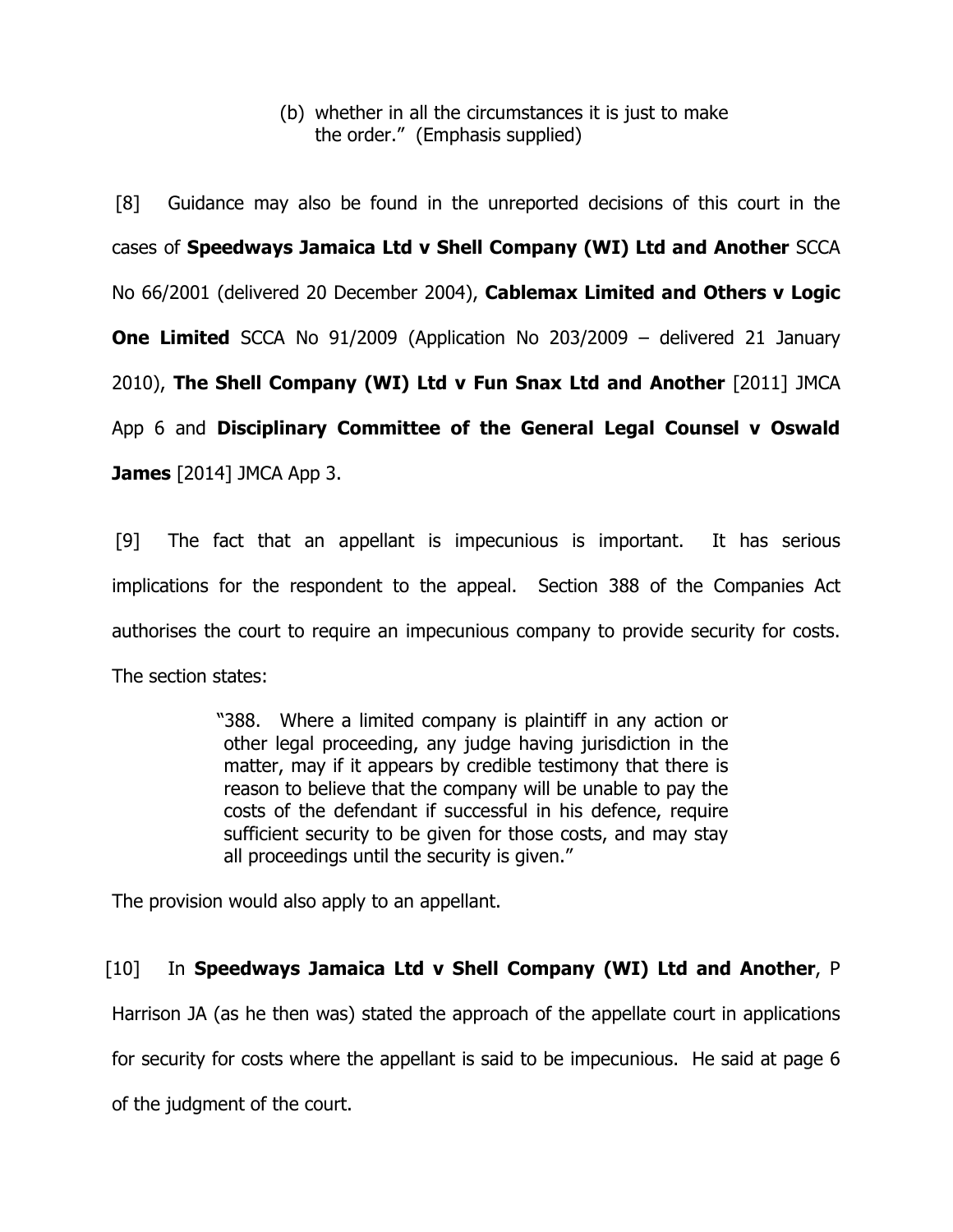# (b) whether in all the circumstances it is just to make the order." (Emphasis supplied)

[8] Guidance may also be found in the unreported decisions of this court in the cases of **Speedways Jamaica Ltd v Shell Company (WI) Ltd and Another** SCCA No 66/2001 (delivered 20 December 2004), **Cablemax Limited and Others v Logic One Limited** SCCA No 91/2009 (Application No 203/2009 – delivered 21 January 2010), **The Shell Company (WI) Ltd v Fun Snax Ltd and Another** [2011] JMCA App 6 and **Disciplinary Committee of the General Legal Counsel v Oswald James** [2014] JMCA App 3.

[9] The fact that an appellant is impecunious is important. It has serious implications for the respondent to the appeal. Section 388 of the Companies Act authorises the court to require an impecunious company to provide security for costs. The section states:

> "388. Where a limited company is plaintiff in any action or other legal proceeding, any judge having jurisdiction in the matter, may if it appears by credible testimony that there is reason to believe that the company will be unable to pay the costs of the defendant if successful in his defence, require sufficient security to be given for those costs, and may stay all proceedings until the security is given."

The provision would also apply to an appellant.

# [10] In **Speedways Jamaica Ltd v Shell Company (WI) Ltd and Another**, P

Harrison JA (as he then was) stated the approach of the appellate court in applications

for security for costs where the appellant is said to be impecunious. He said at page 6

of the judgment of the court.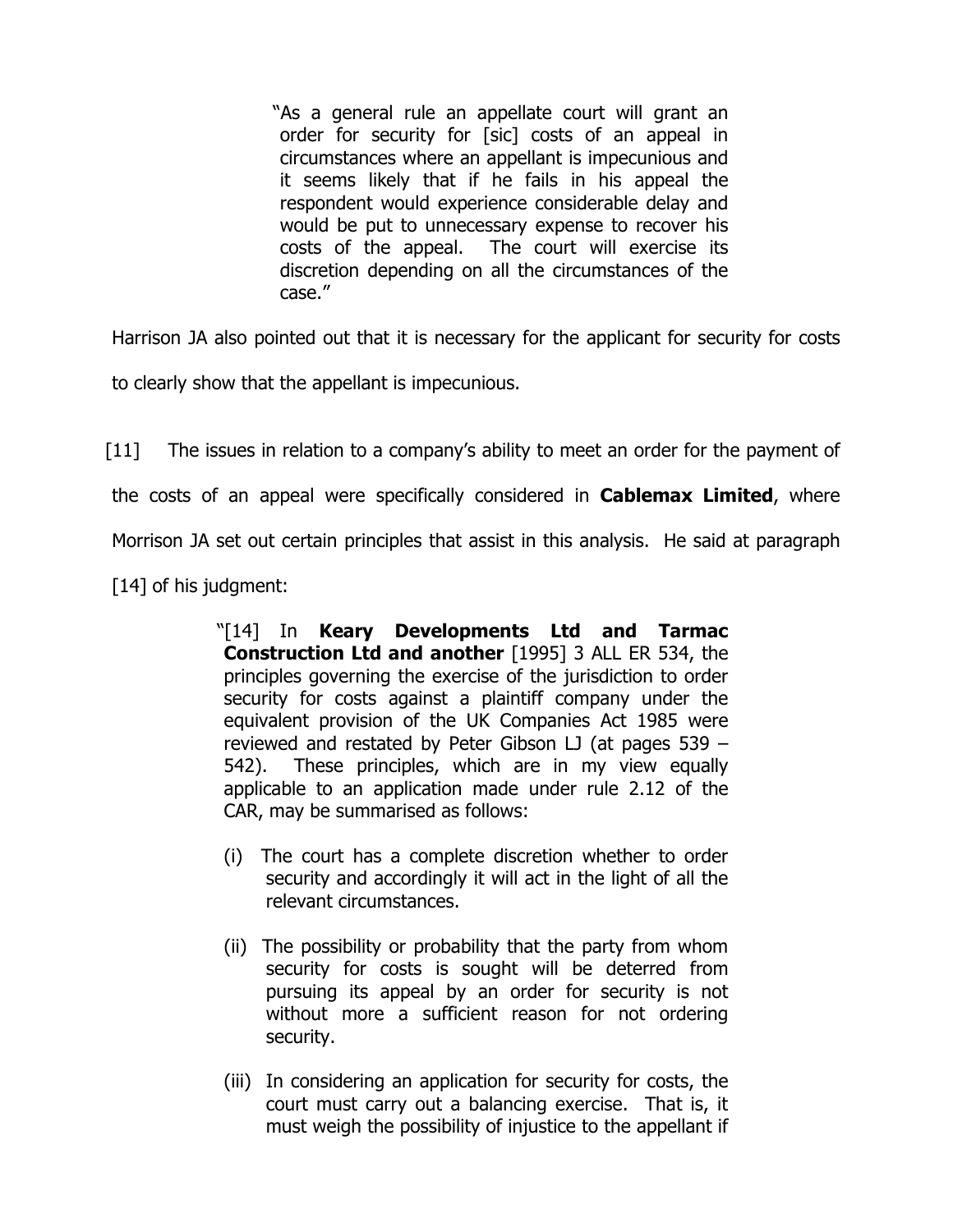"As a general rule an appellate court will grant an order for security for [sic] costs of an appeal in circumstances where an appellant is impecunious and it seems likely that if he fails in his appeal the respondent would experience considerable delay and would be put to unnecessary expense to recover his costs of the appeal. The court will exercise its discretion depending on all the circumstances of the case."

Harrison JA also pointed out that it is necessary for the applicant for security for costs

to clearly show that the appellant is impecunious.

[11] The issues in relation to a company's ability to meet an order for the payment of the costs of an appeal were specifically considered in **Cablemax Limited**, where Morrison JA set out certain principles that assist in this analysis. He said at paragraph [14] of his judgment:

> "[14] In **Keary Developments Ltd and Tarmac Construction Ltd and another** [1995] 3 ALL ER 534, the principles governing the exercise of the jurisdiction to order security for costs against a plaintiff company under the equivalent provision of the UK Companies Act 1985 were reviewed and restated by Peter Gibson LJ (at pages 539 – 542). These principles, which are in my view equally applicable to an application made under rule 2.12 of the CAR, may be summarised as follows:

- (i) The court has a complete discretion whether to order security and accordingly it will act in the light of all the relevant circumstances.
- (ii) The possibility or probability that the party from whom security for costs is sought will be deterred from pursuing its appeal by an order for security is not without more a sufficient reason for not ordering security.
- (iii) In considering an application for security for costs, the court must carry out a balancing exercise. That is, it must weigh the possibility of injustice to the appellant if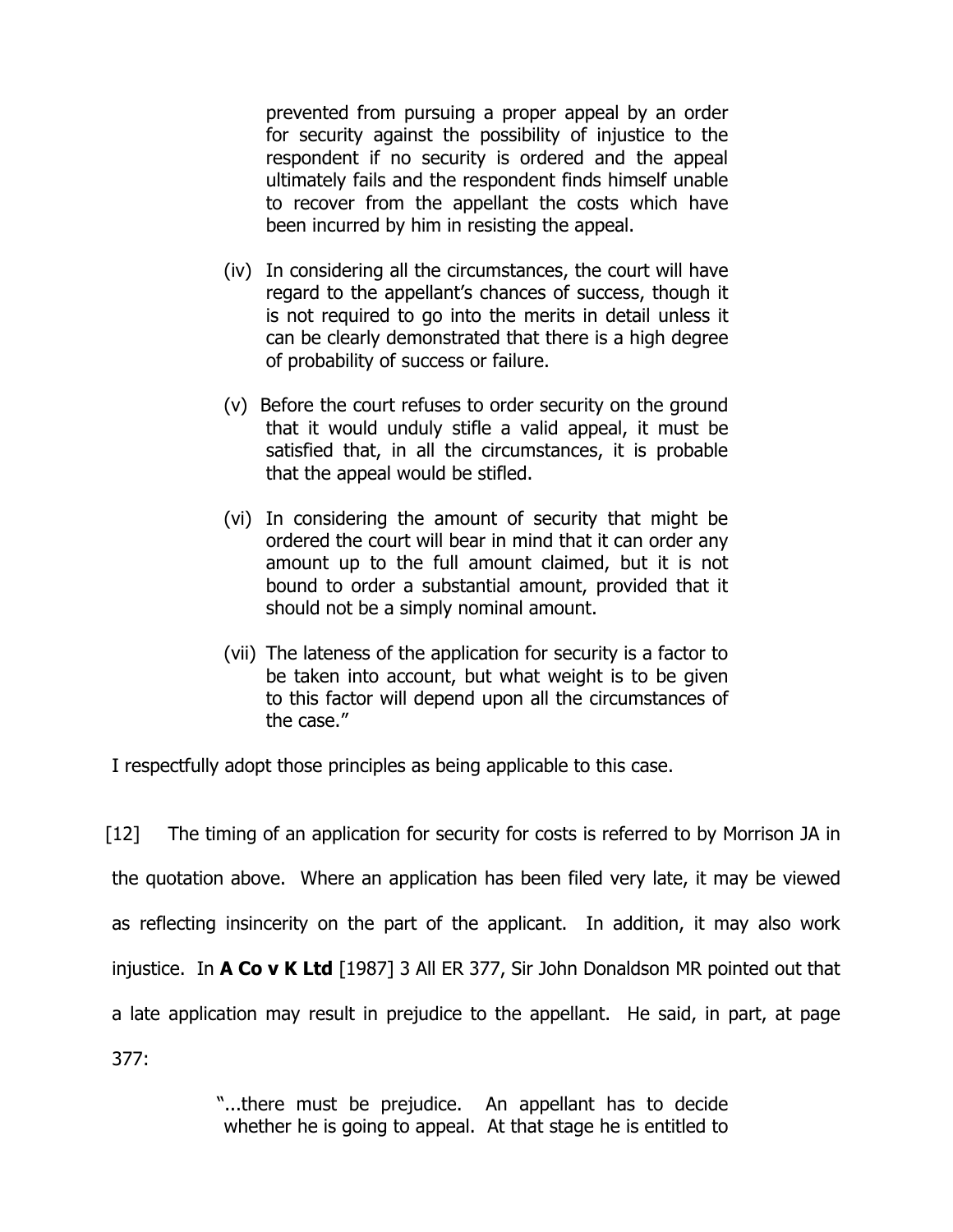prevented from pursuing a proper appeal by an order for security against the possibility of injustice to the respondent if no security is ordered and the appeal ultimately fails and the respondent finds himself unable to recover from the appellant the costs which have been incurred by him in resisting the appeal.

- (iv) In considering all the circumstances, the court will have regard to the appellant's chances of success, though it is not required to go into the merits in detail unless it can be clearly demonstrated that there is a high degree of probability of success or failure.
- (v) Before the court refuses to order security on the ground that it would unduly stifle a valid appeal, it must be satisfied that, in all the circumstances, it is probable that the appeal would be stifled.
- (vi) In considering the amount of security that might be ordered the court will bear in mind that it can order any amount up to the full amount claimed, but it is not bound to order a substantial amount, provided that it should not be a simply nominal amount.
- (vii) The lateness of the application for security is a factor to be taken into account, but what weight is to be given to this factor will depend upon all the circumstances of the case."

I respectfully adopt those principles as being applicable to this case.

[12] The timing of an application for security for costs is referred to by Morrison JA in the quotation above. Where an application has been filed very late, it may be viewed as reflecting insincerity on the part of the applicant. In addition, it may also work injustice. In **A Co v K Ltd** [1987] 3 All ER 377, Sir John Donaldson MR pointed out that a late application may result in prejudice to the appellant. He said, in part, at page 377:

> "...there must be prejudice. An appellant has to decide whether he is going to appeal. At that stage he is entitled to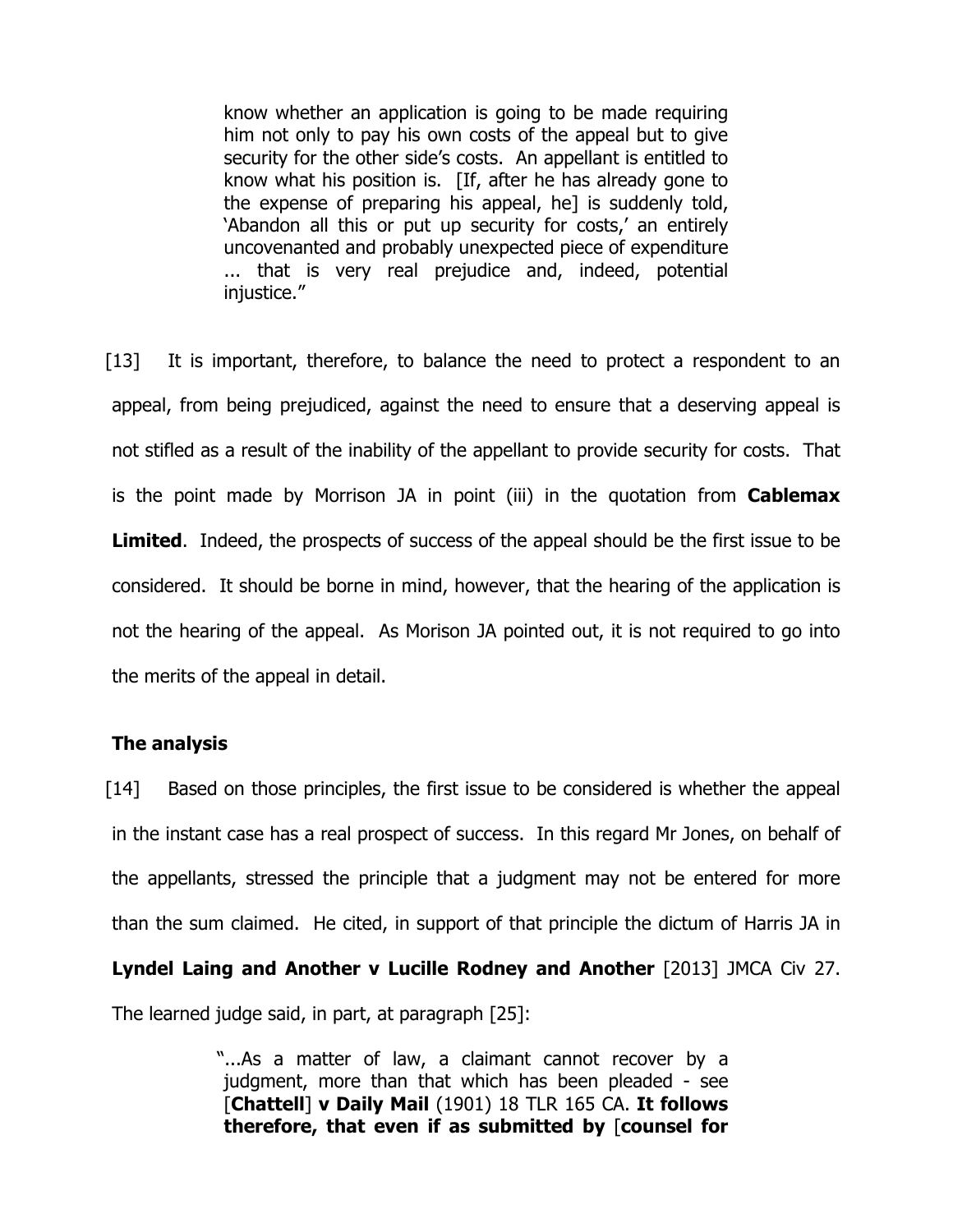know whether an application is going to be made requiring him not only to pay his own costs of the appeal but to give security for the other side's costs. An appellant is entitled to know what his position is. [If, after he has already gone to the expense of preparing his appeal, he] is suddenly told, 'Abandon all this or put up security for costs,' an entirely uncovenanted and probably unexpected piece of expenditure ... that is very real prejudice and, indeed, potential injustice."

[13] It is important, therefore, to balance the need to protect a respondent to an appeal, from being prejudiced, against the need to ensure that a deserving appeal is not stifled as a result of the inability of the appellant to provide security for costs. That is the point made by Morrison JA in point (iii) in the quotation from **Cablemax Limited.** Indeed, the prospects of success of the appeal should be the first issue to be considered. It should be borne in mind, however, that the hearing of the application is not the hearing of the appeal. As Morison JA pointed out, it is not required to go into the merits of the appeal in detail.

### **The analysis**

[14] Based on those principles, the first issue to be considered is whether the appeal in the instant case has a real prospect of success. In this regard Mr Jones, on behalf of the appellants, stressed the principle that a judgment may not be entered for more than the sum claimed. He cited, in support of that principle the dictum of Harris JA in **Lyndel Laing and Another v Lucille Rodney and Another** [2013] JMCA Civ 27.

The learned judge said, in part, at paragraph [25]:

"...As a matter of law, a claimant cannot recover by a judgment, more than that which has been pleaded - see [**Chattell**] **v Daily Mail** (1901) 18 TLR 165 CA. **It follows therefore, that even if as submitted by** [**counsel for**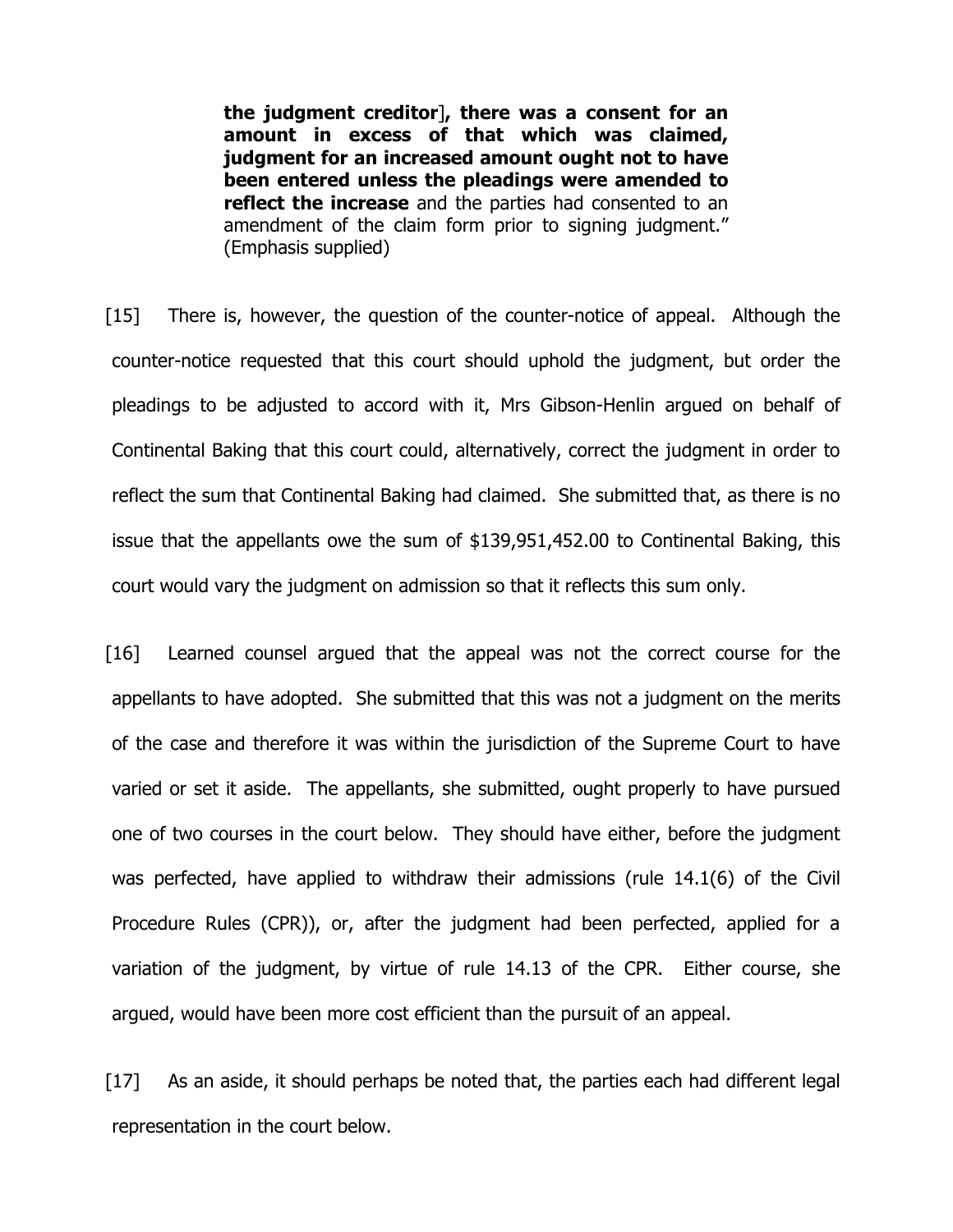**the judgment creditor**]**, there was a consent for an amount in excess of that which was claimed, judgment for an increased amount ought not to have been entered unless the pleadings were amended to reflect the increase** and the parties had consented to an amendment of the claim form prior to signing judgment." (Emphasis supplied)

[15] There is, however, the question of the counter-notice of appeal. Although the counter-notice requested that this court should uphold the judgment, but order the pleadings to be adjusted to accord with it, Mrs Gibson-Henlin argued on behalf of Continental Baking that this court could, alternatively, correct the judgment in order to reflect the sum that Continental Baking had claimed. She submitted that, as there is no issue that the appellants owe the sum of \$139,951,452.00 to Continental Baking, this court would vary the judgment on admission so that it reflects this sum only.

[16] Learned counsel argued that the appeal was not the correct course for the appellants to have adopted. She submitted that this was not a judgment on the merits of the case and therefore it was within the jurisdiction of the Supreme Court to have varied or set it aside. The appellants, she submitted, ought properly to have pursued one of two courses in the court below. They should have either, before the judgment was perfected, have applied to withdraw their admissions (rule 14.1(6) of the Civil Procedure Rules (CPR)), or, after the judgment had been perfected, applied for a variation of the judgment, by virtue of rule 14.13 of the CPR. Either course, she argued, would have been more cost efficient than the pursuit of an appeal.

[17] As an aside, it should perhaps be noted that, the parties each had different legal representation in the court below.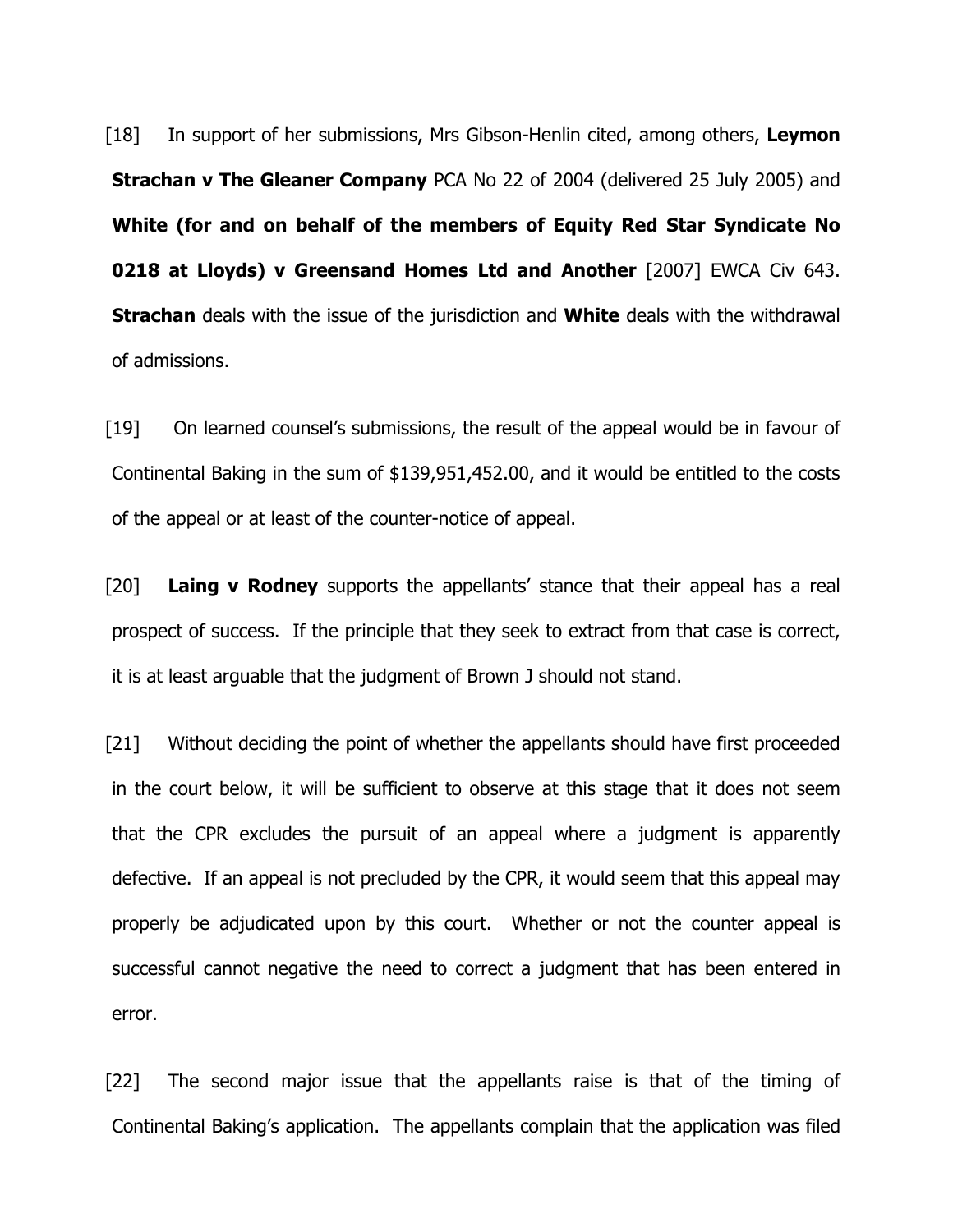[18] In support of her submissions, Mrs Gibson-Henlin cited, among others, **Leymon Strachan v The Gleaner Company** PCA No 22 of 2004 (delivered 25 July 2005) and **White (for and on behalf of the members of Equity Red Star Syndicate No 0218 at Lloyds) v Greensand Homes Ltd and Another** [2007] EWCA Civ 643. **Strachan** deals with the issue of the jurisdiction and **White** deals with the withdrawal of admissions.

[19] On learned counsel's submissions, the result of the appeal would be in favour of Continental Baking in the sum of \$139,951,452.00, and it would be entitled to the costs of the appeal or at least of the counter-notice of appeal.

[20] **Laing v Rodney** supports the appellants' stance that their appeal has a real prospect of success. If the principle that they seek to extract from that case is correct, it is at least arguable that the judgment of Brown J should not stand.

[21] Without deciding the point of whether the appellants should have first proceeded in the court below, it will be sufficient to observe at this stage that it does not seem that the CPR excludes the pursuit of an appeal where a judgment is apparently defective. If an appeal is not precluded by the CPR, it would seem that this appeal may properly be adjudicated upon by this court. Whether or not the counter appeal is successful cannot negative the need to correct a judgment that has been entered in error.

[22] The second major issue that the appellants raise is that of the timing of Continental Baking's application. The appellants complain that the application was filed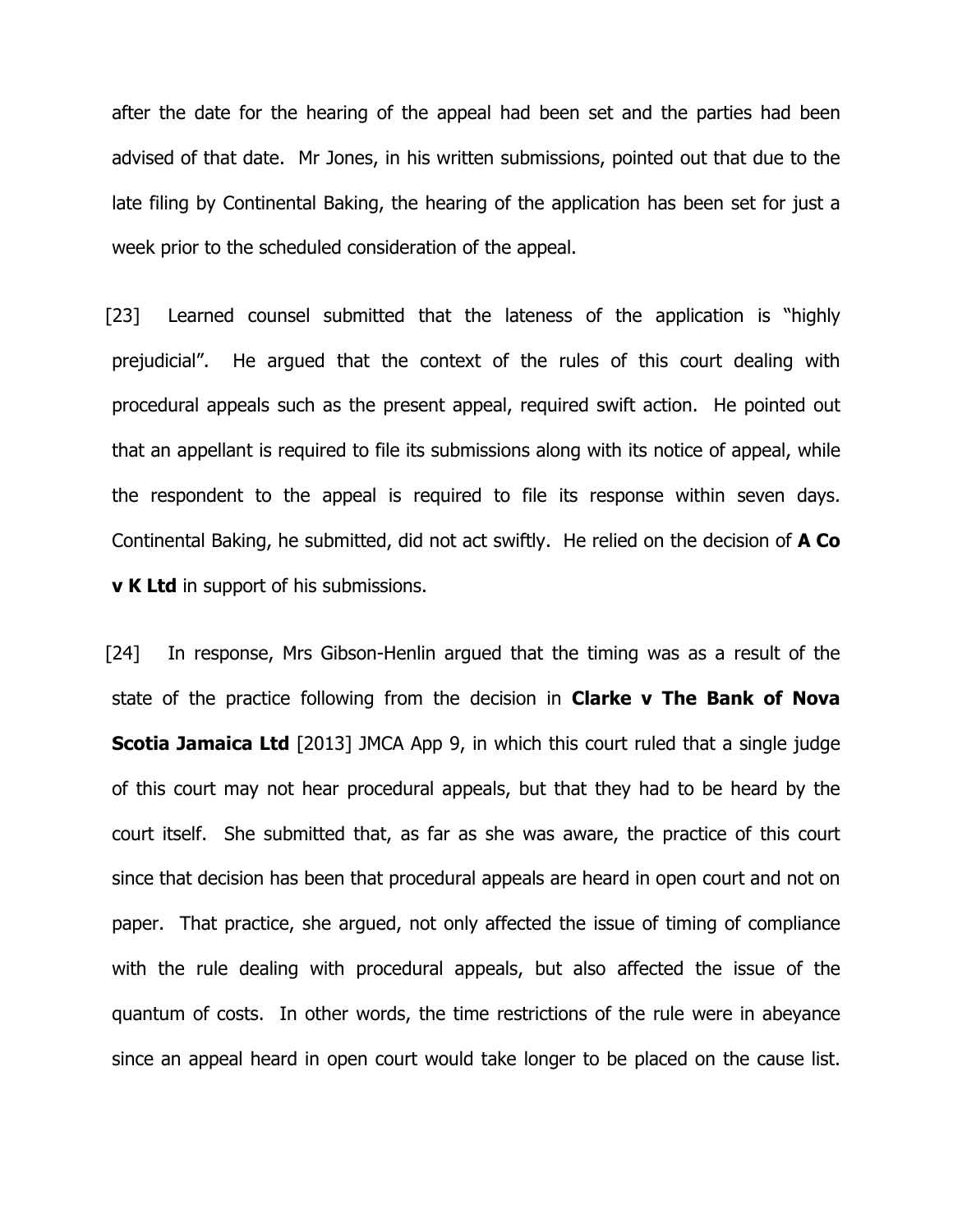after the date for the hearing of the appeal had been set and the parties had been advised of that date. Mr Jones, in his written submissions, pointed out that due to the late filing by Continental Baking, the hearing of the application has been set for just a week prior to the scheduled consideration of the appeal.

[23] Learned counsel submitted that the lateness of the application is "highly prejudicial". He argued that the context of the rules of this court dealing with procedural appeals such as the present appeal, required swift action. He pointed out that an appellant is required to file its submissions along with its notice of appeal, while the respondent to the appeal is required to file its response within seven days. Continental Baking, he submitted, did not act swiftly. He relied on the decision of **A Co v K Ltd** in support of his submissions.

[24] In response, Mrs Gibson-Henlin argued that the timing was as a result of the state of the practice following from the decision in **Clarke v The Bank of Nova Scotia Jamaica Ltd** [2013] JMCA App 9, in which this court ruled that a single judge of this court may not hear procedural appeals, but that they had to be heard by the court itself. She submitted that, as far as she was aware, the practice of this court since that decision has been that procedural appeals are heard in open court and not on paper. That practice, she argued, not only affected the issue of timing of compliance with the rule dealing with procedural appeals, but also affected the issue of the quantum of costs. In other words, the time restrictions of the rule were in abeyance since an appeal heard in open court would take longer to be placed on the cause list.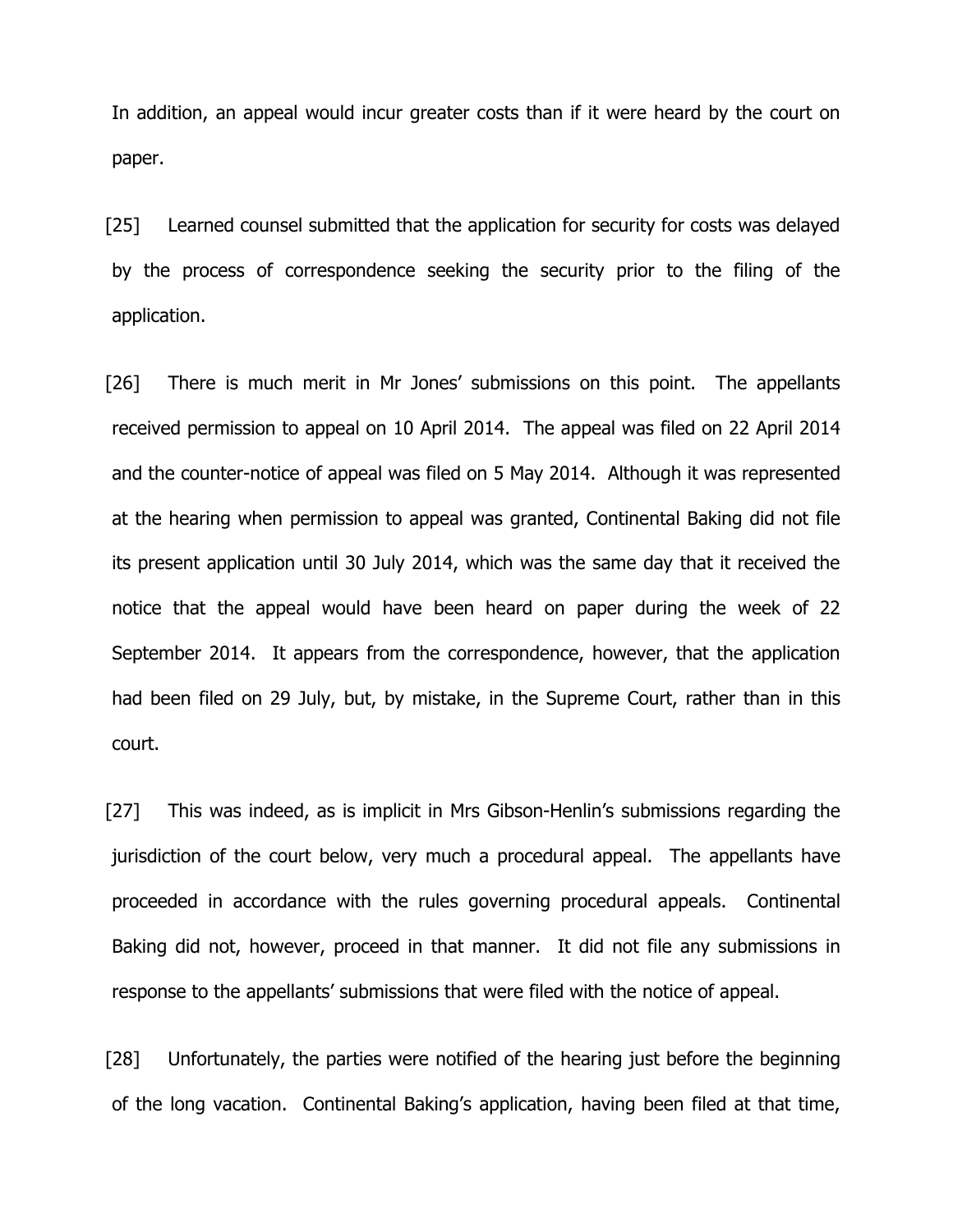In addition, an appeal would incur greater costs than if it were heard by the court on paper.

[25] Learned counsel submitted that the application for security for costs was delayed by the process of correspondence seeking the security prior to the filing of the application.

[26] There is much merit in Mr Jones' submissions on this point. The appellants received permission to appeal on 10 April 2014. The appeal was filed on 22 April 2014 and the counter-notice of appeal was filed on 5 May 2014. Although it was represented at the hearing when permission to appeal was granted, Continental Baking did not file its present application until 30 July 2014, which was the same day that it received the notice that the appeal would have been heard on paper during the week of 22 September 2014. It appears from the correspondence, however, that the application had been filed on 29 July, but, by mistake, in the Supreme Court, rather than in this court.

[27] This was indeed, as is implicit in Mrs Gibson-Henlin's submissions regarding the jurisdiction of the court below, very much a procedural appeal. The appellants have proceeded in accordance with the rules governing procedural appeals. Continental Baking did not, however, proceed in that manner. It did not file any submissions in response to the appellants' submissions that were filed with the notice of appeal.

[28] Unfortunately, the parties were notified of the hearing just before the beginning of the long vacation. Continental Baking's application, having been filed at that time,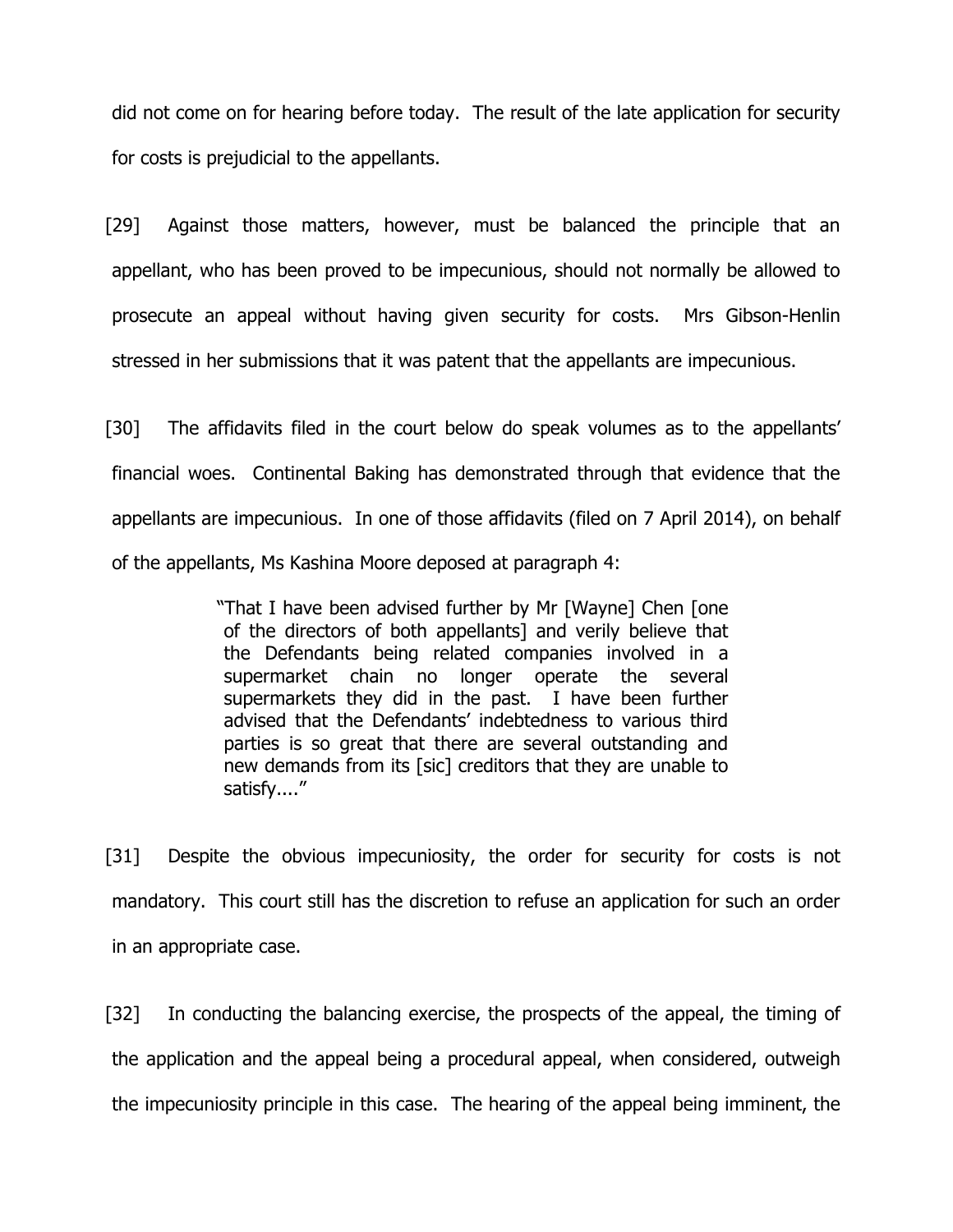did not come on for hearing before today. The result of the late application for security for costs is prejudicial to the appellants.

[29] Against those matters, however, must be balanced the principle that an appellant, who has been proved to be impecunious, should not normally be allowed to prosecute an appeal without having given security for costs. Mrs Gibson-Henlin stressed in her submissions that it was patent that the appellants are impecunious.

[30] The affidavits filed in the court below do speak volumes as to the appellants' financial woes. Continental Baking has demonstrated through that evidence that the appellants are impecunious. In one of those affidavits (filed on 7 April 2014), on behalf of the appellants, Ms Kashina Moore deposed at paragraph 4:

> "That I have been advised further by Mr [Wayne] Chen [one of the directors of both appellants] and verily believe that the Defendants being related companies involved in a supermarket chain no longer operate the several supermarkets they did in the past. I have been further advised that the Defendants' indebtedness to various third parties is so great that there are several outstanding and new demands from its [sic] creditors that they are unable to satisfy...."

[31] Despite the obvious impecuniosity, the order for security for costs is not mandatory. This court still has the discretion to refuse an application for such an order in an appropriate case.

[32] In conducting the balancing exercise, the prospects of the appeal, the timing of the application and the appeal being a procedural appeal, when considered, outweigh the impecuniosity principle in this case. The hearing of the appeal being imminent, the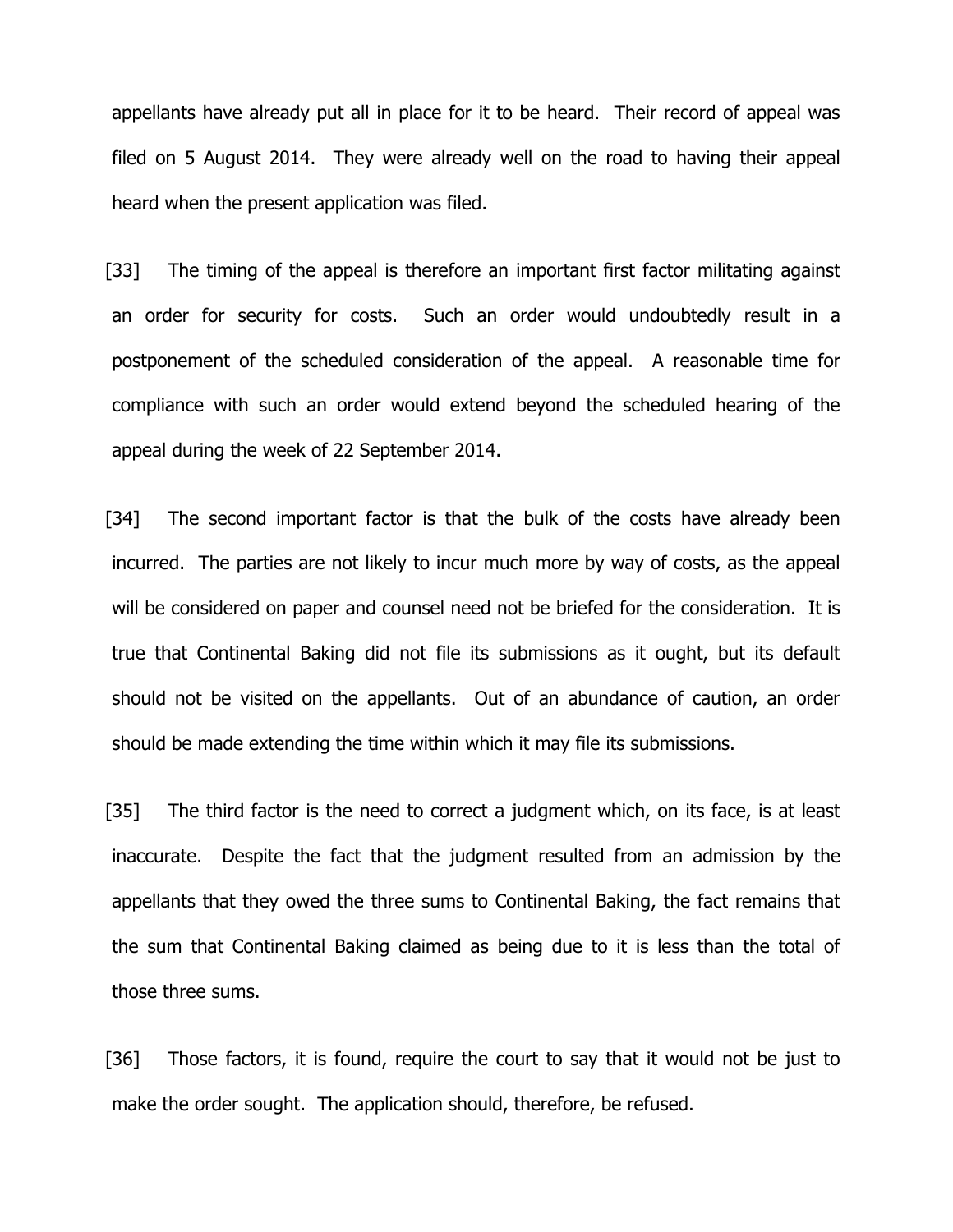appellants have already put all in place for it to be heard. Their record of appeal was filed on 5 August 2014. They were already well on the road to having their appeal heard when the present application was filed.

[33] The timing of the appeal is therefore an important first factor militating against an order for security for costs. Such an order would undoubtedly result in a postponement of the scheduled consideration of the appeal. A reasonable time for compliance with such an order would extend beyond the scheduled hearing of the appeal during the week of 22 September 2014.

[34] The second important factor is that the bulk of the costs have already been incurred. The parties are not likely to incur much more by way of costs, as the appeal will be considered on paper and counsel need not be briefed for the consideration. It is true that Continental Baking did not file its submissions as it ought, but its default should not be visited on the appellants. Out of an abundance of caution, an order should be made extending the time within which it may file its submissions.

[35] The third factor is the need to correct a judgment which, on its face, is at least inaccurate. Despite the fact that the judgment resulted from an admission by the appellants that they owed the three sums to Continental Baking, the fact remains that the sum that Continental Baking claimed as being due to it is less than the total of those three sums.

[36] Those factors, it is found, require the court to say that it would not be just to make the order sought. The application should, therefore, be refused.